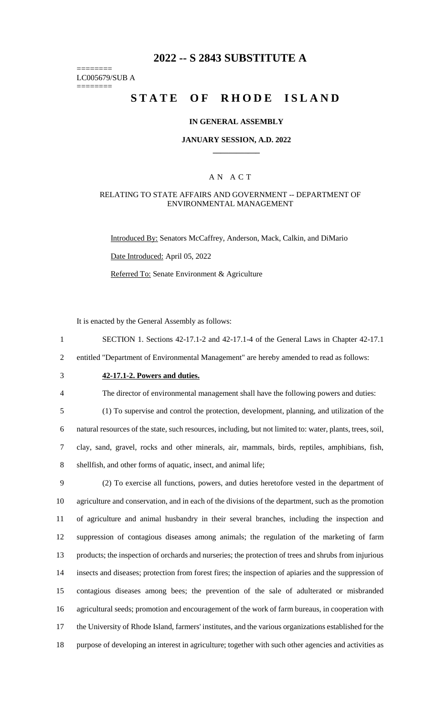## **2022 -- S 2843 SUBSTITUTE A**

======== LC005679/SUB A

========

## **STATE OF RHODE ISLAND**

### **IN GENERAL ASSEMBLY**

### **JANUARY SESSION, A.D. 2022 \_\_\_\_\_\_\_\_\_\_\_\_**

### A N A C T

### RELATING TO STATE AFFAIRS AND GOVERNMENT -- DEPARTMENT OF ENVIRONMENTAL MANAGEMENT

Introduced By: Senators McCaffrey, Anderson, Mack, Calkin, and DiMario

Date Introduced: April 05, 2022

Referred To: Senate Environment & Agriculture

It is enacted by the General Assembly as follows:

1 SECTION 1. Sections 42-17.1-2 and 42-17.1-4 of the General Laws in Chapter 42-17.1

2 entitled "Department of Environmental Management" are hereby amended to read as follows:

3 **42-17.1-2. Powers and duties.**

4 The director of environmental management shall have the following powers and duties:

 (1) To supervise and control the protection, development, planning, and utilization of the natural resources of the state, such resources, including, but not limited to: water, plants, trees, soil, clay, sand, gravel, rocks and other minerals, air, mammals, birds, reptiles, amphibians, fish, shellfish, and other forms of aquatic, insect, and animal life;

 (2) To exercise all functions, powers, and duties heretofore vested in the department of agriculture and conservation, and in each of the divisions of the department, such as the promotion of agriculture and animal husbandry in their several branches, including the inspection and suppression of contagious diseases among animals; the regulation of the marketing of farm products; the inspection of orchards and nurseries; the protection of trees and shrubs from injurious insects and diseases; protection from forest fires; the inspection of apiaries and the suppression of contagious diseases among bees; the prevention of the sale of adulterated or misbranded agricultural seeds; promotion and encouragement of the work of farm bureaus, in cooperation with the University of Rhode Island, farmers' institutes, and the various organizations established for the purpose of developing an interest in agriculture; together with such other agencies and activities as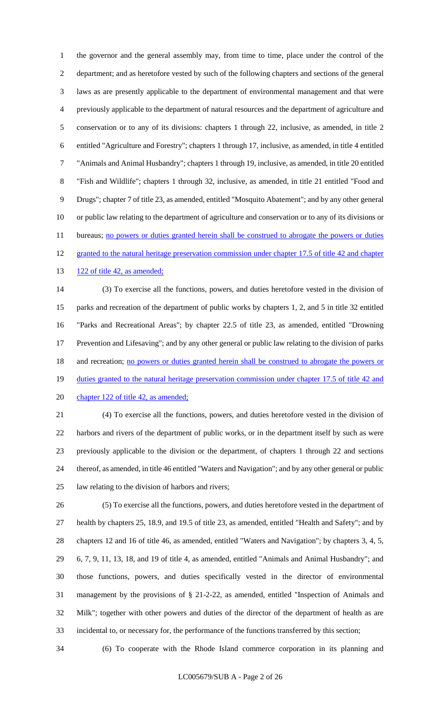the governor and the general assembly may, from time to time, place under the control of the department; and as heretofore vested by such of the following chapters and sections of the general laws as are presently applicable to the department of environmental management and that were previously applicable to the department of natural resources and the department of agriculture and conservation or to any of its divisions: chapters 1 through 22, inclusive, as amended, in title 2 entitled "Agriculture and Forestry"; chapters 1 through 17, inclusive, as amended, in title 4 entitled "Animals and Animal Husbandry"; chapters 1 through 19, inclusive, as amended, in title 20 entitled "Fish and Wildlife"; chapters 1 through 32, inclusive, as amended, in title 21 entitled "Food and Drugs"; chapter 7 of title 23, as amended, entitled "Mosquito Abatement"; and by any other general or public law relating to the department of agriculture and conservation or to any of its divisions or 11 bureaus; no powers or duties granted herein shall be construed to abrogate the powers or duties 12 granted to the natural heritage preservation commission under chapter 17.5 of title 42 and chapter

13 122 of title 42, as amended;

 (3) To exercise all the functions, powers, and duties heretofore vested in the division of parks and recreation of the department of public works by chapters 1, 2, and 5 in title 32 entitled "Parks and Recreational Areas"; by chapter 22.5 of title 23, as amended, entitled "Drowning Prevention and Lifesaving"; and by any other general or public law relating to the division of parks 18 and recreation; no powers or duties granted herein shall be construed to abrogate the powers or 19 duties granted to the natural heritage preservation commission under chapter 17.5 of title 42 and 20 chapter 122 of title 42, as amended;

 (4) To exercise all the functions, powers, and duties heretofore vested in the division of harbors and rivers of the department of public works, or in the department itself by such as were previously applicable to the division or the department, of chapters 1 through 22 and sections thereof, as amended, in title 46 entitled "Waters and Navigation"; and by any other general or public law relating to the division of harbors and rivers;

 (5) To exercise all the functions, powers, and duties heretofore vested in the department of health by chapters 25, 18.9, and 19.5 of title 23, as amended, entitled "Health and Safety"; and by chapters 12 and 16 of title 46, as amended, entitled "Waters and Navigation"; by chapters 3, 4, 5, 6, 7, 9, 11, 13, 18, and 19 of title 4, as amended, entitled "Animals and Animal Husbandry"; and those functions, powers, and duties specifically vested in the director of environmental management by the provisions of § 21-2-22, as amended, entitled "Inspection of Animals and Milk"; together with other powers and duties of the director of the department of health as are incidental to, or necessary for, the performance of the functions transferred by this section;

(6) To cooperate with the Rhode Island commerce corporation in its planning and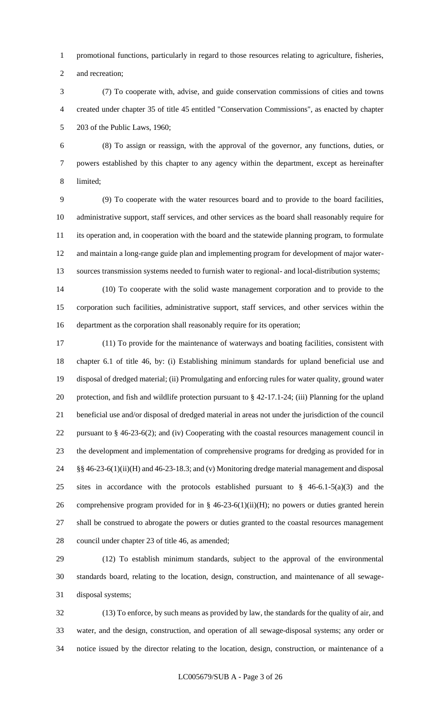promotional functions, particularly in regard to those resources relating to agriculture, fisheries,

and recreation;

 (7) To cooperate with, advise, and guide conservation commissions of cities and towns created under chapter 35 of title 45 entitled "Conservation Commissions", as enacted by chapter 203 of the Public Laws, 1960;

 (8) To assign or reassign, with the approval of the governor, any functions, duties, or powers established by this chapter to any agency within the department, except as hereinafter limited;

 (9) To cooperate with the water resources board and to provide to the board facilities, administrative support, staff services, and other services as the board shall reasonably require for its operation and, in cooperation with the board and the statewide planning program, to formulate and maintain a long-range guide plan and implementing program for development of major water-sources transmission systems needed to furnish water to regional- and local-distribution systems;

 (10) To cooperate with the solid waste management corporation and to provide to the corporation such facilities, administrative support, staff services, and other services within the department as the corporation shall reasonably require for its operation;

 (11) To provide for the maintenance of waterways and boating facilities, consistent with chapter 6.1 of title 46, by: (i) Establishing minimum standards for upland beneficial use and disposal of dredged material; (ii) Promulgating and enforcing rules for water quality, ground water protection, and fish and wildlife protection pursuant to § 42-17.1-24; (iii) Planning for the upland beneficial use and/or disposal of dredged material in areas not under the jurisdiction of the council 22 pursuant to § 46-23-6(2); and (iv) Cooperating with the coastal resources management council in the development and implementation of comprehensive programs for dredging as provided for in §§ 46-23-6(1)(ii)(H) and 46-23-18.3; and (v) Monitoring dredge material management and disposal sites in accordance with the protocols established pursuant to § 46-6.1-5(a)(3) and the comprehensive program provided for in § 46-23-6(1)(ii)(H); no powers or duties granted herein shall be construed to abrogate the powers or duties granted to the coastal resources management council under chapter 23 of title 46, as amended;

 (12) To establish minimum standards, subject to the approval of the environmental standards board, relating to the location, design, construction, and maintenance of all sewage-disposal systems;

 (13) To enforce, by such means as provided by law, the standards for the quality of air, and water, and the design, construction, and operation of all sewage-disposal systems; any order or notice issued by the director relating to the location, design, construction, or maintenance of a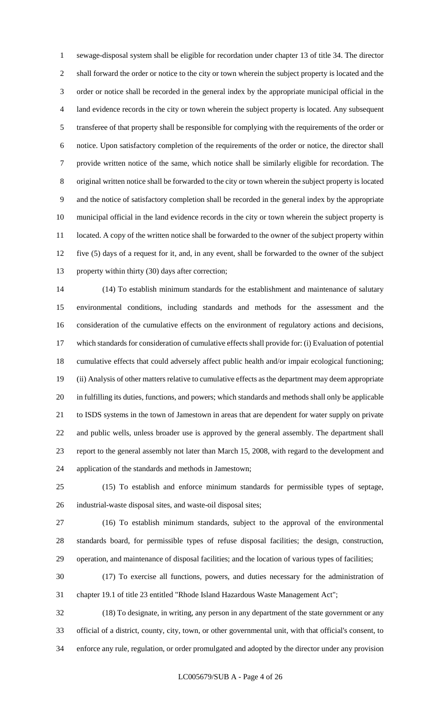sewage-disposal system shall be eligible for recordation under chapter 13 of title 34. The director shall forward the order or notice to the city or town wherein the subject property is located and the order or notice shall be recorded in the general index by the appropriate municipal official in the land evidence records in the city or town wherein the subject property is located. Any subsequent transferee of that property shall be responsible for complying with the requirements of the order or notice. Upon satisfactory completion of the requirements of the order or notice, the director shall provide written notice of the same, which notice shall be similarly eligible for recordation. The original written notice shall be forwarded to the city or town wherein the subject property is located and the notice of satisfactory completion shall be recorded in the general index by the appropriate municipal official in the land evidence records in the city or town wherein the subject property is 11 located. A copy of the written notice shall be forwarded to the owner of the subject property within five (5) days of a request for it, and, in any event, shall be forwarded to the owner of the subject property within thirty (30) days after correction;

 (14) To establish minimum standards for the establishment and maintenance of salutary environmental conditions, including standards and methods for the assessment and the consideration of the cumulative effects on the environment of regulatory actions and decisions, which standards for consideration of cumulative effects shall provide for: (i) Evaluation of potential cumulative effects that could adversely affect public health and/or impair ecological functioning; (ii) Analysis of other matters relative to cumulative effects as the department may deem appropriate in fulfilling its duties, functions, and powers; which standards and methods shall only be applicable to ISDS systems in the town of Jamestown in areas that are dependent for water supply on private and public wells, unless broader use is approved by the general assembly. The department shall report to the general assembly not later than March 15, 2008, with regard to the development and application of the standards and methods in Jamestown;

 (15) To establish and enforce minimum standards for permissible types of septage, industrial-waste disposal sites, and waste-oil disposal sites;

 (16) To establish minimum standards, subject to the approval of the environmental standards board, for permissible types of refuse disposal facilities; the design, construction, operation, and maintenance of disposal facilities; and the location of various types of facilities;

 (17) To exercise all functions, powers, and duties necessary for the administration of chapter 19.1 of title 23 entitled "Rhode Island Hazardous Waste Management Act";

 (18) To designate, in writing, any person in any department of the state government or any official of a district, county, city, town, or other governmental unit, with that official's consent, to enforce any rule, regulation, or order promulgated and adopted by the director under any provision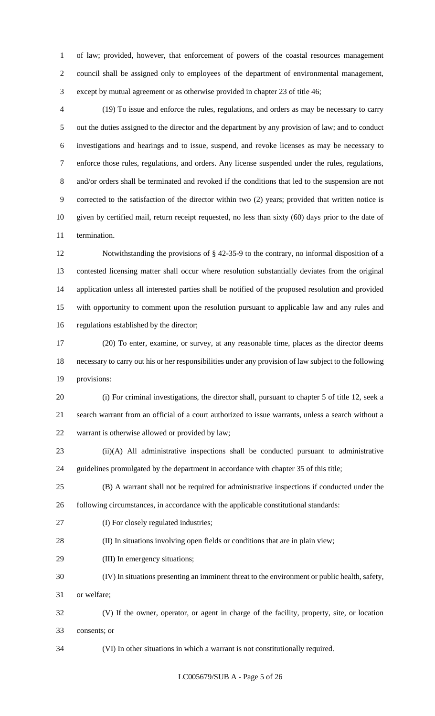of law; provided, however, that enforcement of powers of the coastal resources management council shall be assigned only to employees of the department of environmental management, except by mutual agreement or as otherwise provided in chapter 23 of title 46;

 (19) To issue and enforce the rules, regulations, and orders as may be necessary to carry out the duties assigned to the director and the department by any provision of law; and to conduct investigations and hearings and to issue, suspend, and revoke licenses as may be necessary to enforce those rules, regulations, and orders. Any license suspended under the rules, regulations, and/or orders shall be terminated and revoked if the conditions that led to the suspension are not corrected to the satisfaction of the director within two (2) years; provided that written notice is given by certified mail, return receipt requested, no less than sixty (60) days prior to the date of termination.

 Notwithstanding the provisions of § 42-35-9 to the contrary, no informal disposition of a contested licensing matter shall occur where resolution substantially deviates from the original application unless all interested parties shall be notified of the proposed resolution and provided with opportunity to comment upon the resolution pursuant to applicable law and any rules and regulations established by the director;

 (20) To enter, examine, or survey, at any reasonable time, places as the director deems necessary to carry out his or her responsibilities under any provision of law subject to the following provisions:

 (i) For criminal investigations, the director shall, pursuant to chapter 5 of title 12, seek a search warrant from an official of a court authorized to issue warrants, unless a search without a warrant is otherwise allowed or provided by law;

 (ii)(A) All administrative inspections shall be conducted pursuant to administrative guidelines promulgated by the department in accordance with chapter 35 of this title;

 (B) A warrant shall not be required for administrative inspections if conducted under the following circumstances, in accordance with the applicable constitutional standards:

(I) For closely regulated industries;

(II) In situations involving open fields or conditions that are in plain view;

(III) In emergency situations;

(IV) In situations presenting an imminent threat to the environment or public health, safety,

or welfare;

 (V) If the owner, operator, or agent in charge of the facility, property, site, or location consents; or

(VI) In other situations in which a warrant is not constitutionally required.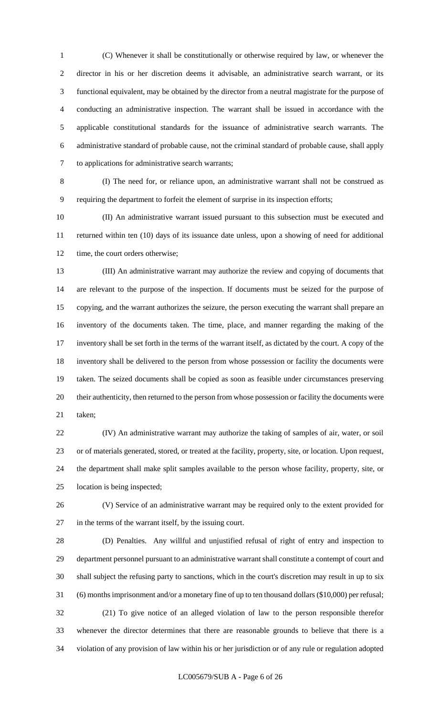(C) Whenever it shall be constitutionally or otherwise required by law, or whenever the director in his or her discretion deems it advisable, an administrative search warrant, or its functional equivalent, may be obtained by the director from a neutral magistrate for the purpose of conducting an administrative inspection. The warrant shall be issued in accordance with the applicable constitutional standards for the issuance of administrative search warrants. The administrative standard of probable cause, not the criminal standard of probable cause, shall apply to applications for administrative search warrants;

 (I) The need for, or reliance upon, an administrative warrant shall not be construed as requiring the department to forfeit the element of surprise in its inspection efforts;

 (II) An administrative warrant issued pursuant to this subsection must be executed and returned within ten (10) days of its issuance date unless, upon a showing of need for additional 12 time, the court orders otherwise;

 (III) An administrative warrant may authorize the review and copying of documents that are relevant to the purpose of the inspection. If documents must be seized for the purpose of copying, and the warrant authorizes the seizure, the person executing the warrant shall prepare an inventory of the documents taken. The time, place, and manner regarding the making of the inventory shall be set forth in the terms of the warrant itself, as dictated by the court. A copy of the inventory shall be delivered to the person from whose possession or facility the documents were taken. The seized documents shall be copied as soon as feasible under circumstances preserving their authenticity, then returned to the person from whose possession or facility the documents were taken;

 (IV) An administrative warrant may authorize the taking of samples of air, water, or soil or of materials generated, stored, or treated at the facility, property, site, or location. Upon request, the department shall make split samples available to the person whose facility, property, site, or location is being inspected;

 (V) Service of an administrative warrant may be required only to the extent provided for in the terms of the warrant itself, by the issuing court.

 (D) Penalties. Any willful and unjustified refusal of right of entry and inspection to department personnel pursuant to an administrative warrant shall constitute a contempt of court and shall subject the refusing party to sanctions, which in the court's discretion may result in up to six (6) months imprisonment and/or a monetary fine of up to ten thousand dollars (\$10,000) per refusal; (21) To give notice of an alleged violation of law to the person responsible therefor whenever the director determines that there are reasonable grounds to believe that there is a violation of any provision of law within his or her jurisdiction or of any rule or regulation adopted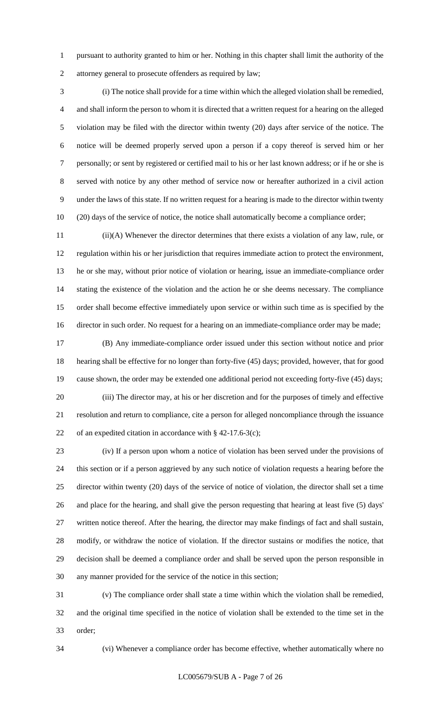pursuant to authority granted to him or her. Nothing in this chapter shall limit the authority of the attorney general to prosecute offenders as required by law;

 (i) The notice shall provide for a time within which the alleged violation shall be remedied, and shall inform the person to whom it is directed that a written request for a hearing on the alleged violation may be filed with the director within twenty (20) days after service of the notice. The notice will be deemed properly served upon a person if a copy thereof is served him or her personally; or sent by registered or certified mail to his or her last known address; or if he or she is served with notice by any other method of service now or hereafter authorized in a civil action under the laws of this state. If no written request for a hearing is made to the director within twenty (20) days of the service of notice, the notice shall automatically become a compliance order;

 (ii)(A) Whenever the director determines that there exists a violation of any law, rule, or regulation within his or her jurisdiction that requires immediate action to protect the environment, he or she may, without prior notice of violation or hearing, issue an immediate-compliance order stating the existence of the violation and the action he or she deems necessary. The compliance order shall become effective immediately upon service or within such time as is specified by the director in such order. No request for a hearing on an immediate-compliance order may be made;

 (B) Any immediate-compliance order issued under this section without notice and prior hearing shall be effective for no longer than forty-five (45) days; provided, however, that for good cause shown, the order may be extended one additional period not exceeding forty-five (45) days; (iii) The director may, at his or her discretion and for the purposes of timely and effective resolution and return to compliance, cite a person for alleged noncompliance through the issuance 22 of an expedited citation in accordance with  $\S$  42-17.6-3(c);

 (iv) If a person upon whom a notice of violation has been served under the provisions of this section or if a person aggrieved by any such notice of violation requests a hearing before the director within twenty (20) days of the service of notice of violation, the director shall set a time and place for the hearing, and shall give the person requesting that hearing at least five (5) days' written notice thereof. After the hearing, the director may make findings of fact and shall sustain, modify, or withdraw the notice of violation. If the director sustains or modifies the notice, that decision shall be deemed a compliance order and shall be served upon the person responsible in any manner provided for the service of the notice in this section;

 (v) The compliance order shall state a time within which the violation shall be remedied, and the original time specified in the notice of violation shall be extended to the time set in the order;

(vi) Whenever a compliance order has become effective, whether automatically where no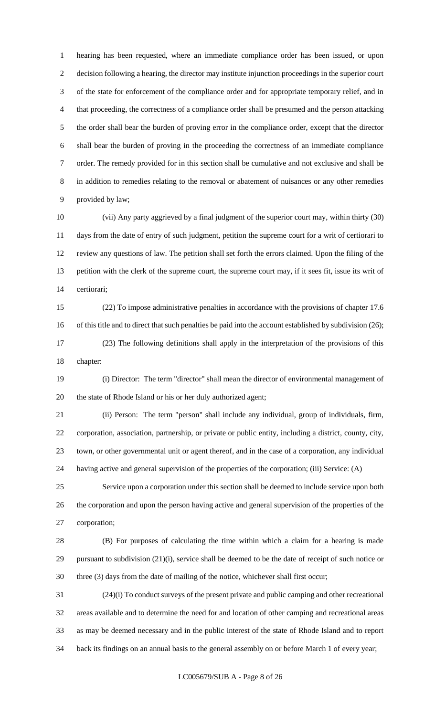hearing has been requested, where an immediate compliance order has been issued, or upon decision following a hearing, the director may institute injunction proceedings in the superior court of the state for enforcement of the compliance order and for appropriate temporary relief, and in that proceeding, the correctness of a compliance order shall be presumed and the person attacking the order shall bear the burden of proving error in the compliance order, except that the director shall bear the burden of proving in the proceeding the correctness of an immediate compliance order. The remedy provided for in this section shall be cumulative and not exclusive and shall be in addition to remedies relating to the removal or abatement of nuisances or any other remedies provided by law;

 (vii) Any party aggrieved by a final judgment of the superior court may, within thirty (30) days from the date of entry of such judgment, petition the supreme court for a writ of certiorari to review any questions of law. The petition shall set forth the errors claimed. Upon the filing of the petition with the clerk of the supreme court, the supreme court may, if it sees fit, issue its writ of certiorari;

 (22) To impose administrative penalties in accordance with the provisions of chapter 17.6 of this title and to direct that such penalties be paid into the account established by subdivision (26); (23) The following definitions shall apply in the interpretation of the provisions of this chapter:

 (i) Director: The term "director" shall mean the director of environmental management of the state of Rhode Island or his or her duly authorized agent;

 (ii) Person: The term "person" shall include any individual, group of individuals, firm, corporation, association, partnership, or private or public entity, including a district, county, city, town, or other governmental unit or agent thereof, and in the case of a corporation, any individual having active and general supervision of the properties of the corporation; (iii) Service: (A)

 Service upon a corporation under this section shall be deemed to include service upon both the corporation and upon the person having active and general supervision of the properties of the corporation;

 (B) For purposes of calculating the time within which a claim for a hearing is made pursuant to subdivision (21)(i), service shall be deemed to be the date of receipt of such notice or three (3) days from the date of mailing of the notice, whichever shall first occur;

 (24)(i) To conduct surveys of the present private and public camping and other recreational areas available and to determine the need for and location of other camping and recreational areas as may be deemed necessary and in the public interest of the state of Rhode Island and to report back its findings on an annual basis to the general assembly on or before March 1 of every year;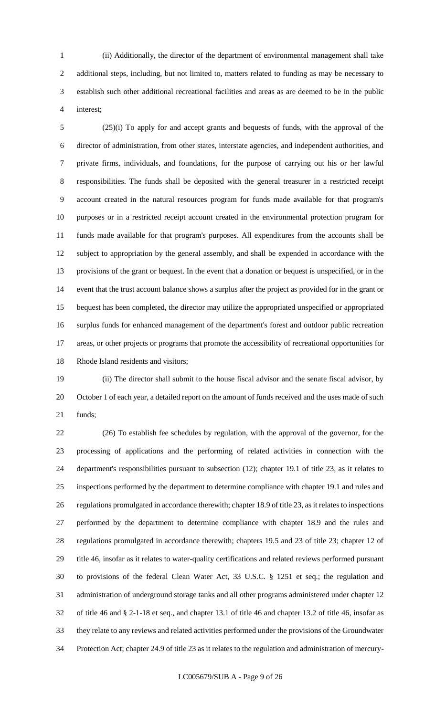(ii) Additionally, the director of the department of environmental management shall take additional steps, including, but not limited to, matters related to funding as may be necessary to establish such other additional recreational facilities and areas as are deemed to be in the public interest;

 (25)(i) To apply for and accept grants and bequests of funds, with the approval of the director of administration, from other states, interstate agencies, and independent authorities, and private firms, individuals, and foundations, for the purpose of carrying out his or her lawful responsibilities. The funds shall be deposited with the general treasurer in a restricted receipt account created in the natural resources program for funds made available for that program's purposes or in a restricted receipt account created in the environmental protection program for funds made available for that program's purposes. All expenditures from the accounts shall be subject to appropriation by the general assembly, and shall be expended in accordance with the provisions of the grant or bequest. In the event that a donation or bequest is unspecified, or in the event that the trust account balance shows a surplus after the project as provided for in the grant or bequest has been completed, the director may utilize the appropriated unspecified or appropriated surplus funds for enhanced management of the department's forest and outdoor public recreation areas, or other projects or programs that promote the accessibility of recreational opportunities for Rhode Island residents and visitors;

 (ii) The director shall submit to the house fiscal advisor and the senate fiscal advisor, by October 1 of each year, a detailed report on the amount of funds received and the uses made of such funds;

 (26) To establish fee schedules by regulation, with the approval of the governor, for the processing of applications and the performing of related activities in connection with the department's responsibilities pursuant to subsection (12); chapter 19.1 of title 23, as it relates to inspections performed by the department to determine compliance with chapter 19.1 and rules and regulations promulgated in accordance therewith; chapter 18.9 of title 23, as it relates to inspections performed by the department to determine compliance with chapter 18.9 and the rules and regulations promulgated in accordance therewith; chapters 19.5 and 23 of title 23; chapter 12 of title 46, insofar as it relates to water-quality certifications and related reviews performed pursuant to provisions of the federal Clean Water Act, 33 U.S.C. § 1251 et seq.; the regulation and administration of underground storage tanks and all other programs administered under chapter 12 of title 46 and § 2-1-18 et seq., and chapter 13.1 of title 46 and chapter 13.2 of title 46, insofar as they relate to any reviews and related activities performed under the provisions of the Groundwater Protection Act; chapter 24.9 of title 23 as it relates to the regulation and administration of mercury-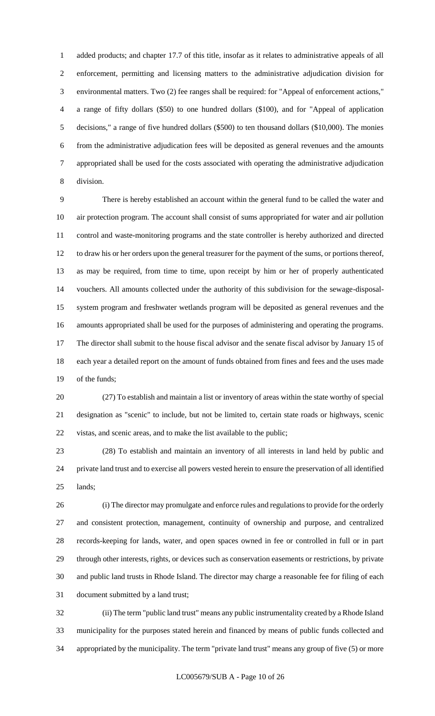added products; and chapter 17.7 of this title, insofar as it relates to administrative appeals of all enforcement, permitting and licensing matters to the administrative adjudication division for environmental matters. Two (2) fee ranges shall be required: for "Appeal of enforcement actions," a range of fifty dollars (\$50) to one hundred dollars (\$100), and for "Appeal of application decisions," a range of five hundred dollars (\$500) to ten thousand dollars (\$10,000). The monies from the administrative adjudication fees will be deposited as general revenues and the amounts appropriated shall be used for the costs associated with operating the administrative adjudication division.

 There is hereby established an account within the general fund to be called the water and air protection program. The account shall consist of sums appropriated for water and air pollution control and waste-monitoring programs and the state controller is hereby authorized and directed to draw his or her orders upon the general treasurer for the payment of the sums, or portions thereof, as may be required, from time to time, upon receipt by him or her of properly authenticated vouchers. All amounts collected under the authority of this subdivision for the sewage-disposal- system program and freshwater wetlands program will be deposited as general revenues and the amounts appropriated shall be used for the purposes of administering and operating the programs. The director shall submit to the house fiscal advisor and the senate fiscal advisor by January 15 of each year a detailed report on the amount of funds obtained from fines and fees and the uses made of the funds;

 (27) To establish and maintain a list or inventory of areas within the state worthy of special designation as "scenic" to include, but not be limited to, certain state roads or highways, scenic vistas, and scenic areas, and to make the list available to the public;

 (28) To establish and maintain an inventory of all interests in land held by public and private land trust and to exercise all powers vested herein to ensure the preservation of all identified lands;

 (i) The director may promulgate and enforce rules and regulations to provide for the orderly and consistent protection, management, continuity of ownership and purpose, and centralized records-keeping for lands, water, and open spaces owned in fee or controlled in full or in part through other interests, rights, or devices such as conservation easements or restrictions, by private and public land trusts in Rhode Island. The director may charge a reasonable fee for filing of each document submitted by a land trust;

 (ii) The term "public land trust" means any public instrumentality created by a Rhode Island municipality for the purposes stated herein and financed by means of public funds collected and appropriated by the municipality. The term "private land trust" means any group of five (5) or more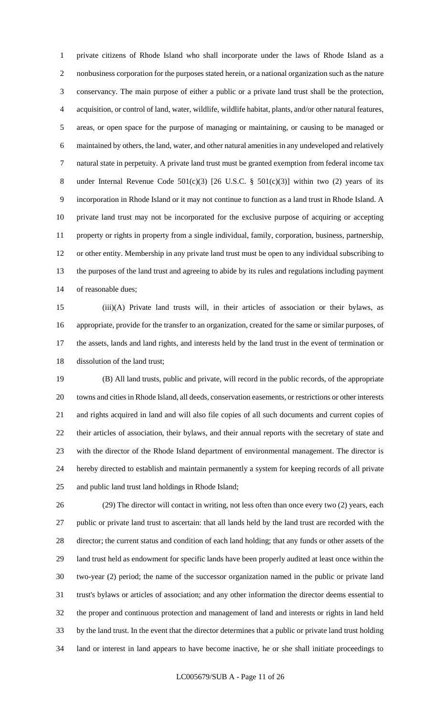private citizens of Rhode Island who shall incorporate under the laws of Rhode Island as a nonbusiness corporation for the purposes stated herein, or a national organization such as the nature conservancy. The main purpose of either a public or a private land trust shall be the protection, acquisition, or control of land, water, wildlife, wildlife habitat, plants, and/or other natural features, areas, or open space for the purpose of managing or maintaining, or causing to be managed or maintained by others, the land, water, and other natural amenities in any undeveloped and relatively natural state in perpetuity. A private land trust must be granted exemption from federal income tax 8 under Internal Revenue Code 501(c)(3) [26 U.S.C. § 501(c)(3)] within two (2) years of its incorporation in Rhode Island or it may not continue to function as a land trust in Rhode Island. A private land trust may not be incorporated for the exclusive purpose of acquiring or accepting property or rights in property from a single individual, family, corporation, business, partnership, or other entity. Membership in any private land trust must be open to any individual subscribing to the purposes of the land trust and agreeing to abide by its rules and regulations including payment of reasonable dues;

 (iii)(A) Private land trusts will, in their articles of association or their bylaws, as appropriate, provide for the transfer to an organization, created for the same or similar purposes, of the assets, lands and land rights, and interests held by the land trust in the event of termination or dissolution of the land trust;

 (B) All land trusts, public and private, will record in the public records, of the appropriate towns and cities in Rhode Island, all deeds, conservation easements, or restrictions or other interests and rights acquired in land and will also file copies of all such documents and current copies of their articles of association, their bylaws, and their annual reports with the secretary of state and with the director of the Rhode Island department of environmental management. The director is hereby directed to establish and maintain permanently a system for keeping records of all private and public land trust land holdings in Rhode Island;

 (29) The director will contact in writing, not less often than once every two (2) years, each public or private land trust to ascertain: that all lands held by the land trust are recorded with the director; the current status and condition of each land holding; that any funds or other assets of the land trust held as endowment for specific lands have been properly audited at least once within the two-year (2) period; the name of the successor organization named in the public or private land trust's bylaws or articles of association; and any other information the director deems essential to the proper and continuous protection and management of land and interests or rights in land held by the land trust. In the event that the director determines that a public or private land trust holding land or interest in land appears to have become inactive, he or she shall initiate proceedings to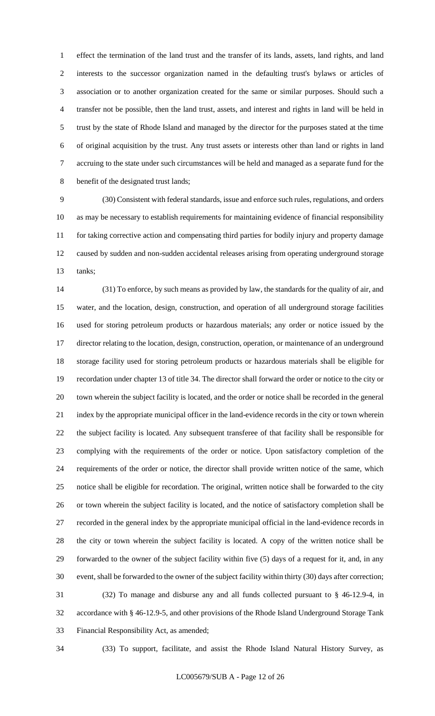effect the termination of the land trust and the transfer of its lands, assets, land rights, and land interests to the successor organization named in the defaulting trust's bylaws or articles of association or to another organization created for the same or similar purposes. Should such a transfer not be possible, then the land trust, assets, and interest and rights in land will be held in trust by the state of Rhode Island and managed by the director for the purposes stated at the time of original acquisition by the trust. Any trust assets or interests other than land or rights in land accruing to the state under such circumstances will be held and managed as a separate fund for the benefit of the designated trust lands;

 (30) Consistent with federal standards, issue and enforce such rules, regulations, and orders as may be necessary to establish requirements for maintaining evidence of financial responsibility for taking corrective action and compensating third parties for bodily injury and property damage caused by sudden and non-sudden accidental releases arising from operating underground storage tanks;

 (31) To enforce, by such means as provided by law, the standards for the quality of air, and water, and the location, design, construction, and operation of all underground storage facilities used for storing petroleum products or hazardous materials; any order or notice issued by the director relating to the location, design, construction, operation, or maintenance of an underground storage facility used for storing petroleum products or hazardous materials shall be eligible for recordation under chapter 13 of title 34. The director shall forward the order or notice to the city or town wherein the subject facility is located, and the order or notice shall be recorded in the general index by the appropriate municipal officer in the land-evidence records in the city or town wherein the subject facility is located. Any subsequent transferee of that facility shall be responsible for complying with the requirements of the order or notice. Upon satisfactory completion of the requirements of the order or notice, the director shall provide written notice of the same, which notice shall be eligible for recordation. The original, written notice shall be forwarded to the city or town wherein the subject facility is located, and the notice of satisfactory completion shall be recorded in the general index by the appropriate municipal official in the land-evidence records in the city or town wherein the subject facility is located. A copy of the written notice shall be forwarded to the owner of the subject facility within five (5) days of a request for it, and, in any event, shall be forwarded to the owner of the subject facility within thirty (30) days after correction; (32) To manage and disburse any and all funds collected pursuant to § 46-12.9-4, in accordance with § 46-12.9-5, and other provisions of the Rhode Island Underground Storage Tank Financial Responsibility Act, as amended;

(33) To support, facilitate, and assist the Rhode Island Natural History Survey, as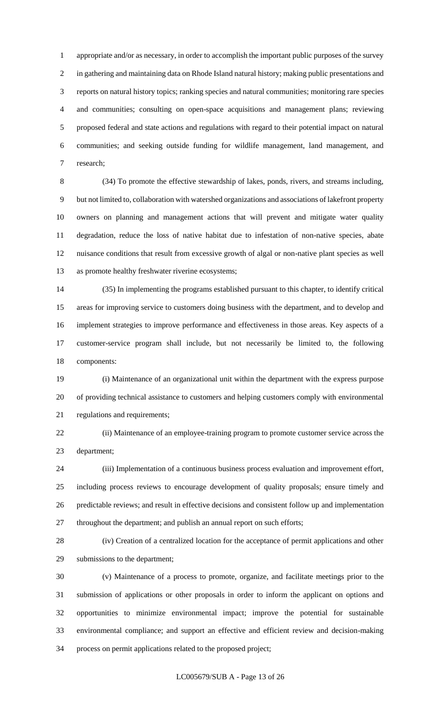appropriate and/or as necessary, in order to accomplish the important public purposes of the survey in gathering and maintaining data on Rhode Island natural history; making public presentations and reports on natural history topics; ranking species and natural communities; monitoring rare species and communities; consulting on open-space acquisitions and management plans; reviewing proposed federal and state actions and regulations with regard to their potential impact on natural communities; and seeking outside funding for wildlife management, land management, and research;

 (34) To promote the effective stewardship of lakes, ponds, rivers, and streams including, but not limited to, collaboration with watershed organizations and associations of lakefront property owners on planning and management actions that will prevent and mitigate water quality degradation, reduce the loss of native habitat due to infestation of non-native species, abate nuisance conditions that result from excessive growth of algal or non-native plant species as well as promote healthy freshwater riverine ecosystems;

 (35) In implementing the programs established pursuant to this chapter, to identify critical areas for improving service to customers doing business with the department, and to develop and implement strategies to improve performance and effectiveness in those areas. Key aspects of a customer-service program shall include, but not necessarily be limited to, the following components:

 (i) Maintenance of an organizational unit within the department with the express purpose of providing technical assistance to customers and helping customers comply with environmental regulations and requirements;

 (ii) Maintenance of an employee-training program to promote customer service across the department;

 (iii) Implementation of a continuous business process evaluation and improvement effort, including process reviews to encourage development of quality proposals; ensure timely and predictable reviews; and result in effective decisions and consistent follow up and implementation throughout the department; and publish an annual report on such efforts;

 (iv) Creation of a centralized location for the acceptance of permit applications and other submissions to the department;

 (v) Maintenance of a process to promote, organize, and facilitate meetings prior to the submission of applications or other proposals in order to inform the applicant on options and opportunities to minimize environmental impact; improve the potential for sustainable environmental compliance; and support an effective and efficient review and decision-making process on permit applications related to the proposed project;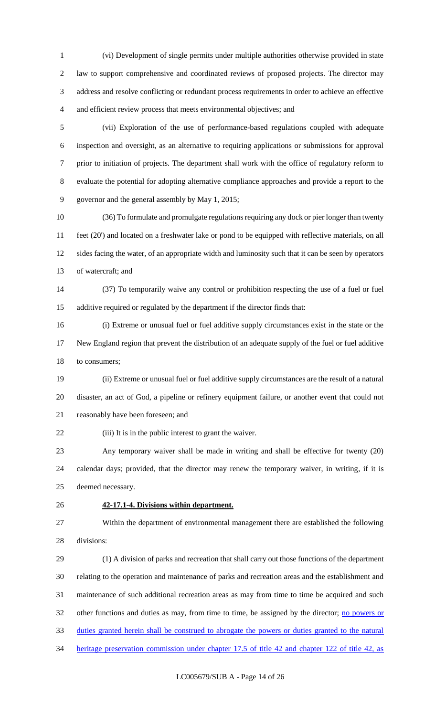(vi) Development of single permits under multiple authorities otherwise provided in state law to support comprehensive and coordinated reviews of proposed projects. The director may address and resolve conflicting or redundant process requirements in order to achieve an effective and efficient review process that meets environmental objectives; and

 (vii) Exploration of the use of performance-based regulations coupled with adequate inspection and oversight, as an alternative to requiring applications or submissions for approval prior to initiation of projects. The department shall work with the office of regulatory reform to evaluate the potential for adopting alternative compliance approaches and provide a report to the governor and the general assembly by May 1, 2015;

 (36) To formulate and promulgate regulations requiring any dock or pier longer than twenty feet (20') and located on a freshwater lake or pond to be equipped with reflective materials, on all sides facing the water, of an appropriate width and luminosity such that it can be seen by operators of watercraft; and

 (37) To temporarily waive any control or prohibition respecting the use of a fuel or fuel additive required or regulated by the department if the director finds that:

 (i) Extreme or unusual fuel or fuel additive supply circumstances exist in the state or the New England region that prevent the distribution of an adequate supply of the fuel or fuel additive to consumers;

 (ii) Extreme or unusual fuel or fuel additive supply circumstances are the result of a natural disaster, an act of God, a pipeline or refinery equipment failure, or another event that could not reasonably have been foreseen; and

22 (iii) It is in the public interest to grant the waiver.

 Any temporary waiver shall be made in writing and shall be effective for twenty (20) calendar days; provided, that the director may renew the temporary waiver, in writing, if it is deemed necessary.

### **42-17.1-4. Divisions within department.**

 Within the department of environmental management there are established the following divisions:

 (1) A division of parks and recreation that shall carry out those functions of the department relating to the operation and maintenance of parks and recreation areas and the establishment and maintenance of such additional recreation areas as may from time to time be acquired and such 32 other functions and duties as may, from time to time, be assigned by the director; no powers or duties granted herein shall be construed to abrogate the powers or duties granted to the natural heritage preservation commission under chapter 17.5 of title 42 and chapter 122 of title 42, as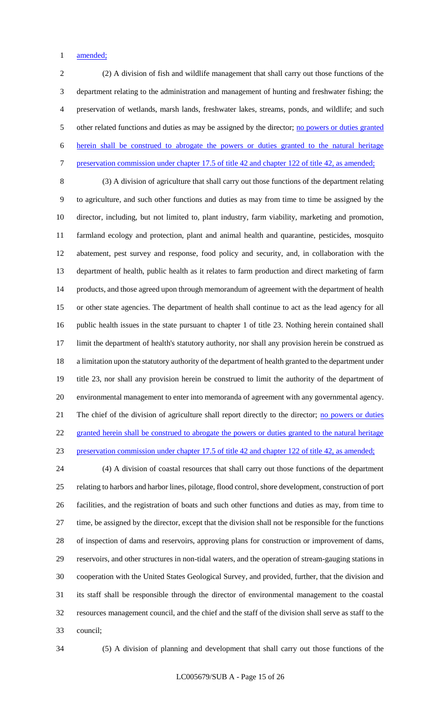1 amended;

 (2) A division of fish and wildlife management that shall carry out those functions of the department relating to the administration and management of hunting and freshwater fishing; the preservation of wetlands, marsh lands, freshwater lakes, streams, ponds, and wildlife; and such 5 other related functions and duties as may be assigned by the director; no powers or duties granted herein shall be construed to abrogate the powers or duties granted to the natural heritage 7 preservation commission under chapter 17.5 of title 42 and chapter 122 of title 42, as amended;

 (3) A division of agriculture that shall carry out those functions of the department relating to agriculture, and such other functions and duties as may from time to time be assigned by the director, including, but not limited to, plant industry, farm viability, marketing and promotion, farmland ecology and protection, plant and animal health and quarantine, pesticides, mosquito abatement, pest survey and response, food policy and security, and, in collaboration with the department of health, public health as it relates to farm production and direct marketing of farm products, and those agreed upon through memorandum of agreement with the department of health or other state agencies. The department of health shall continue to act as the lead agency for all public health issues in the state pursuant to chapter 1 of title 23. Nothing herein contained shall limit the department of health's statutory authority, nor shall any provision herein be construed as a limitation upon the statutory authority of the department of health granted to the department under title 23, nor shall any provision herein be construed to limit the authority of the department of environmental management to enter into memoranda of agreement with any governmental agency. 21 The chief of the division of agriculture shall report directly to the director; no powers or duties 22 granted herein shall be construed to abrogate the powers or duties granted to the natural heritage preservation commission under chapter 17.5 of title 42 and chapter 122 of title 42, as amended;

 (4) A division of coastal resources that shall carry out those functions of the department relating to harbors and harbor lines, pilotage, flood control, shore development, construction of port facilities, and the registration of boats and such other functions and duties as may, from time to time, be assigned by the director, except that the division shall not be responsible for the functions of inspection of dams and reservoirs, approving plans for construction or improvement of dams, reservoirs, and other structures in non-tidal waters, and the operation of stream-gauging stations in cooperation with the United States Geological Survey, and provided, further, that the division and its staff shall be responsible through the director of environmental management to the coastal resources management council, and the chief and the staff of the division shall serve as staff to the council;

(5) A division of planning and development that shall carry out those functions of the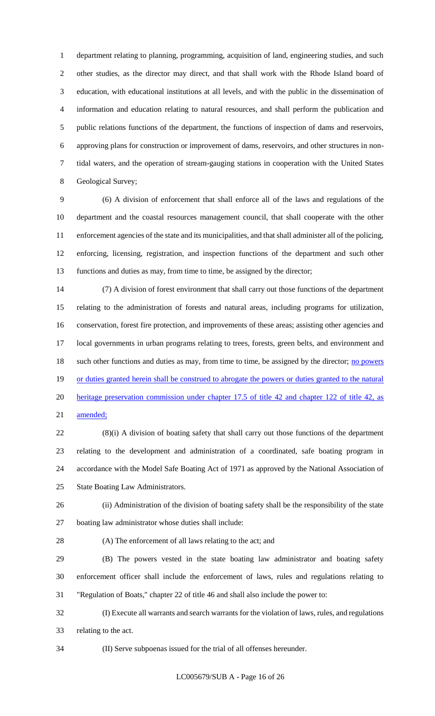department relating to planning, programming, acquisition of land, engineering studies, and such other studies, as the director may direct, and that shall work with the Rhode Island board of education, with educational institutions at all levels, and with the public in the dissemination of information and education relating to natural resources, and shall perform the publication and public relations functions of the department, the functions of inspection of dams and reservoirs, approving plans for construction or improvement of dams, reservoirs, and other structures in non- tidal waters, and the operation of stream-gauging stations in cooperation with the United States Geological Survey;

 (6) A division of enforcement that shall enforce all of the laws and regulations of the department and the coastal resources management council, that shall cooperate with the other enforcement agencies of the state and its municipalities, and that shall administer all of the policing, enforcing, licensing, registration, and inspection functions of the department and such other functions and duties as may, from time to time, be assigned by the director;

 (7) A division of forest environment that shall carry out those functions of the department relating to the administration of forests and natural areas, including programs for utilization, conservation, forest fire protection, and improvements of these areas; assisting other agencies and local governments in urban programs relating to trees, forests, green belts, and environment and 18 such other functions and duties as may, from time to time, be assigned by the director; no powers 19 or duties granted herein shall be construed to abrogate the powers or duties granted to the natural heritage preservation commission under chapter 17.5 of title 42 and chapter 122 of title 42, as amended;

 (8)(i) A division of boating safety that shall carry out those functions of the department relating to the development and administration of a coordinated, safe boating program in accordance with the Model Safe Boating Act of 1971 as approved by the National Association of State Boating Law Administrators.

 (ii) Administration of the division of boating safety shall be the responsibility of the state boating law administrator whose duties shall include:

(A) The enforcement of all laws relating to the act; and

 (B) The powers vested in the state boating law administrator and boating safety enforcement officer shall include the enforcement of laws, rules and regulations relating to "Regulation of Boats," chapter 22 of title 46 and shall also include the power to:

 (I) Execute all warrants and search warrants for the violation of laws, rules, and regulations relating to the act.

(II) Serve subpoenas issued for the trial of all offenses hereunder.

LC005679/SUB A - Page 16 of 26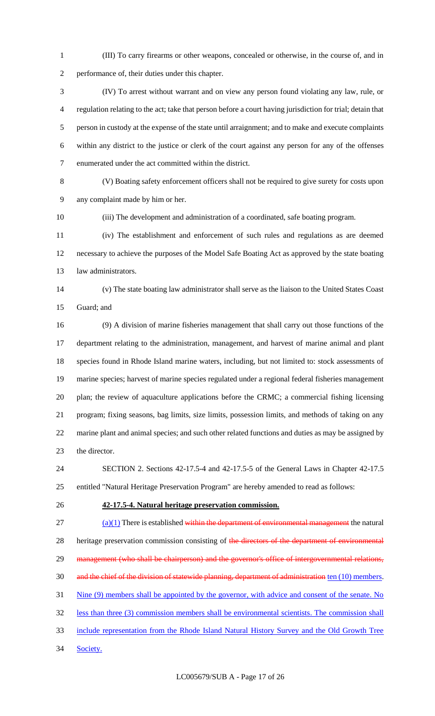(III) To carry firearms or other weapons, concealed or otherwise, in the course of, and in performance of, their duties under this chapter.

 (IV) To arrest without warrant and on view any person found violating any law, rule, or regulation relating to the act; take that person before a court having jurisdiction for trial; detain that person in custody at the expense of the state until arraignment; and to make and execute complaints within any district to the justice or clerk of the court against any person for any of the offenses enumerated under the act committed within the district.

 (V) Boating safety enforcement officers shall not be required to give surety for costs upon any complaint made by him or her.

(iii) The development and administration of a coordinated, safe boating program.

 (iv) The establishment and enforcement of such rules and regulations as are deemed necessary to achieve the purposes of the Model Safe Boating Act as approved by the state boating law administrators.

 (v) The state boating law administrator shall serve as the liaison to the United States Coast Guard; and

 (9) A division of marine fisheries management that shall carry out those functions of the department relating to the administration, management, and harvest of marine animal and plant species found in Rhode Island marine waters, including, but not limited to: stock assessments of marine species; harvest of marine species regulated under a regional federal fisheries management plan; the review of aquaculture applications before the CRMC; a commercial fishing licensing program; fixing seasons, bag limits, size limits, possession limits, and methods of taking on any marine plant and animal species; and such other related functions and duties as may be assigned by the director.

 SECTION 2. Sections 42-17.5-4 and 42-17.5-5 of the General Laws in Chapter 42-17.5 entitled "Natural Heritage Preservation Program" are hereby amended to read as follows:

**42-17.5-4. Natural heritage preservation commission.**

 $(27 \text{ (a)}(1)$  There is established within the department of environmental management the natural 28 heritage preservation commission consisting of the directors of the department of environmental 29 management (who shall be chairperson) and the governor's office of intergovernmental relations, and the chief of the division of statewide planning, department of administration ten (10) members. 31 Nine (9) members shall be appointed by the governor, with advice and consent of the senate. No less than three (3) commission members shall be environmental scientists. The commission shall

include representation from the Rhode Island Natural History Survey and the Old Growth Tree

34 Society.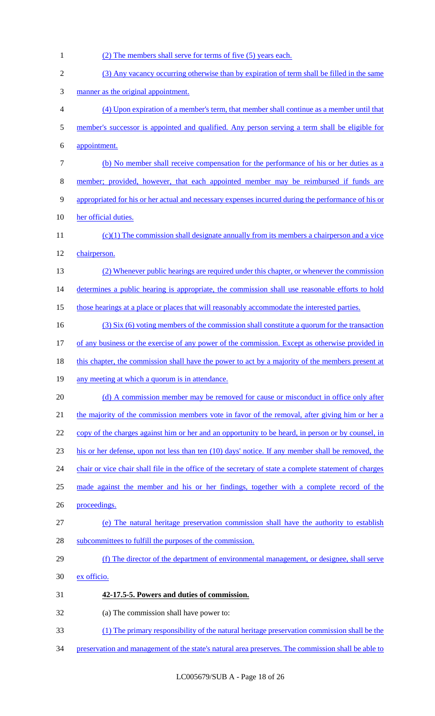| 1              | (2) The members shall serve for terms of five (5) years each.                                          |
|----------------|--------------------------------------------------------------------------------------------------------|
| $\mathbf{2}$   | (3) Any vacancy occurring otherwise than by expiration of term shall be filled in the same             |
| 3              | manner as the original appointment.                                                                    |
| $\overline{4}$ | (4) Upon expiration of a member's term, that member shall continue as a member until that              |
| 5              | member's successor is appointed and qualified. Any person serving a term shall be eligible for         |
| 6              | appointment.                                                                                           |
| $\tau$         | (b) No member shall receive compensation for the performance of his or her duties as a                 |
| $8\,$          | member; provided, however, that each appointed member may be reimbursed if funds are                   |
| $\mathbf{9}$   | appropriated for his or her actual and necessary expenses incurred during the performance of his or    |
| 10             | her official duties.                                                                                   |
| 11             | $(c)(1)$ The commission shall designate annually from its members a chairperson and a vice             |
| 12             | chairperson.                                                                                           |
| 13             | (2) Whenever public hearings are required under this chapter, or whenever the commission               |
| 14             | determines a public hearing is appropriate, the commission shall use reasonable efforts to hold        |
| 15             | those hearings at a place or places that will reasonably accommodate the interested parties.           |
| 16             | (3) Six (6) voting members of the commission shall constitute a quorum for the transaction             |
| 17             | of any business or the exercise of any power of the commission. Except as otherwise provided in        |
| 18             | this chapter, the commission shall have the power to act by a majority of the members present at       |
| 19             | any meeting at which a quorum is in attendance.                                                        |
| 20             | (d) A commission member may be removed for cause or misconduct in office only after                    |
| 21             | the majority of the commission members vote in favor of the removal, after giving him or her a         |
| 22             | copy of the charges against him or her and an opportunity to be heard, in person or by counsel, in     |
| 23             | his or her defense, upon not less than ten (10) days' notice. If any member shall be removed, the      |
| 24             | chair or vice chair shall file in the office of the secretary of state a complete statement of charges |
| 25             | made against the member and his or her findings, together with a complete record of the                |
| 26             | proceedings.                                                                                           |
| 27             | (e) The natural heritage preservation commission shall have the authority to establish                 |
| 28             | subcommittees to fulfill the purposes of the commission.                                               |
| 29             | (f) The director of the department of environmental management, or designee, shall serve               |
| 30             | ex officio.                                                                                            |
| 31             | 42-17.5-5. Powers and duties of commission.                                                            |
| 32             | (a) The commission shall have power to:                                                                |
| 33             | (1) The primary responsibility of the natural heritage preservation commission shall be the            |
| 34             | preservation and management of the state's natural area preserves. The commission shall be able to     |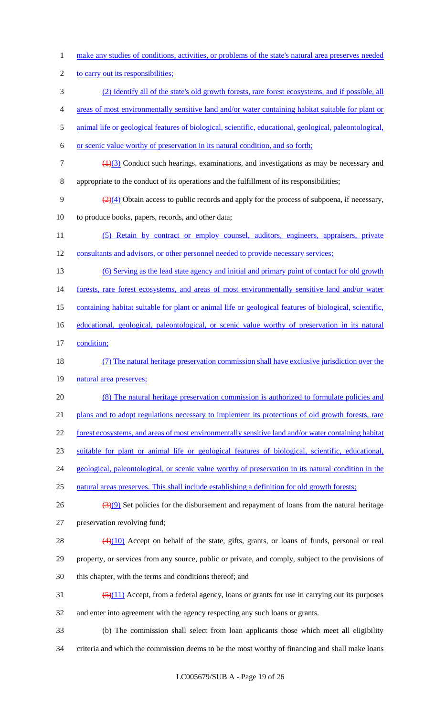make any studies of conditions, activities, or problems of the state's natural area preserves needed 2 to carry out its responsibilities; (2) Identify all of the state's old growth forests, rare forest ecosystems, and if possible, all areas of most environmentally sensitive land and/or water containing habitat suitable for plant or animal life or geological features of biological, scientific, educational, geological, paleontological, or scenic value worthy of preservation in its natural condition, and so forth;  $7 \left( \frac{1}{3} \right)$  Conduct such hearings, examinations, and investigations as may be necessary and appropriate to the conduct of its operations and the fulfillment of its responsibilities;  $\left(\frac{2}{4}\right)$  Obtain access to public records and apply for the process of subpoena, if necessary, to produce books, papers, records, and other data; (5) Retain by contract or employ counsel, auditors, engineers, appraisers, private consultants and advisors, or other personnel needed to provide necessary services; (6) Serving as the lead state agency and initial and primary point of contact for old growth 14 forests, rare forest ecosystems, and areas of most environmentally sensitive land and/or water containing habitat suitable for plant or animal life or geological features of biological, scientific, 16 educational, geological, paleontological, or scenic value worthy of preservation in its natural condition; (7) The natural heritage preservation commission shall have exclusive jurisdiction over the 19 natural area preserves; (8) The natural heritage preservation commission is authorized to formulate policies and 21 plans and to adopt regulations necessary to implement its protections of old growth forests, rare forest ecosystems, and areas of most environmentally sensitive land and/or water containing habitat suitable for plant or animal life or geological features of biological, scientific, educational, geological, paleontological, or scenic value worthy of preservation in its natural condition in the 25 natural areas preserves. This shall include establishing a definition for old growth forests;  $\frac{(3)(9)}{8}$  Set policies for the disbursement and repayment of loans from the natural heritage preservation revolving fund;  $(4)(10)$  Accept on behalf of the state, gifts, grants, or loans of funds, personal or real property, or services from any source, public or private, and comply, subject to the provisions of this chapter, with the terms and conditions thereof; and  $\frac{(5)(11)}{2}$  Accept, from a federal agency, loans or grants for use in carrying out its purposes and enter into agreement with the agency respecting any such loans or grants. (b) The commission shall select from loan applicants those which meet all eligibility criteria and which the commission deems to be the most worthy of financing and shall make loans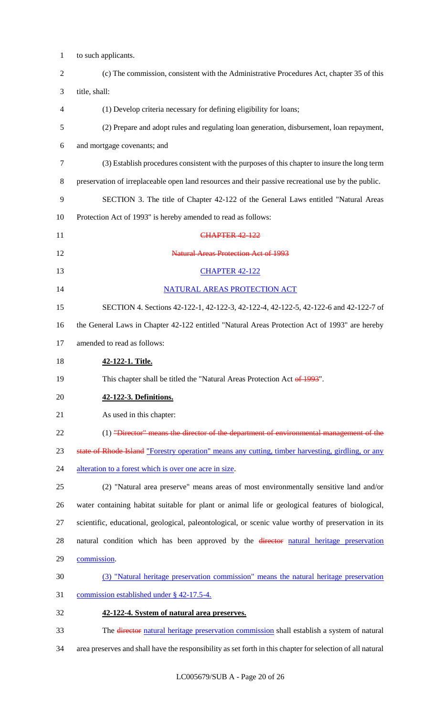| $\mathbf{1}$   | to such applicants.                                                                                        |
|----------------|------------------------------------------------------------------------------------------------------------|
| $\overline{2}$ | (c) The commission, consistent with the Administrative Procedures Act, chapter 35 of this                  |
| 3              | title, shall:                                                                                              |
| 4              | (1) Develop criteria necessary for defining eligibility for loans;                                         |
| 5              | (2) Prepare and adopt rules and regulating loan generation, disbursement, loan repayment,                  |
| 6              | and mortgage covenants; and                                                                                |
| 7              | (3) Establish procedures consistent with the purposes of this chapter to insure the long term              |
| 8              | preservation of irreplaceable open land resources and their passive recreational use by the public.        |
| 9              | SECTION 3. The title of Chapter 42-122 of the General Laws entitled "Natural Areas"                        |
| 10             | Protection Act of 1993" is hereby amended to read as follows:                                              |
| 11             | <b>CHAPTER 42-122</b>                                                                                      |
| 12             | <b>Natural Areas Protection Act of 1993</b>                                                                |
| 13             | <b>CHAPTER 42-122</b>                                                                                      |
| 14             | NATURAL AREAS PROTECTION ACT                                                                               |
| 15             | SECTION 4. Sections 42-122-1, 42-122-3, 42-122-4, 42-122-5, 42-122-6 and 42-122-7 of                       |
| 16             | the General Laws in Chapter 42-122 entitled "Natural Areas Protection Act of 1993" are hereby              |
| 17             | amended to read as follows:                                                                                |
| 18             | 42-122-1. Title.                                                                                           |
| 19             | This chapter shall be titled the "Natural Areas Protection Act of 1993".                                   |
| 20             | 42-122-3. Definitions.                                                                                     |
| 21             | As used in this chapter:                                                                                   |
| 22             | (1) "Director" means the director of the department of environmental management of the                     |
| 23             | state of Rhode Island "Forestry operation" means any cutting, timber harvesting, girdling, or any          |
| 24             | alteration to a forest which is over one acre in size.                                                     |
| 25             | (2) "Natural area preserve" means areas of most environmentally sensitive land and/or                      |
| 26             | water containing habitat suitable for plant or animal life or geological features of biological,           |
| 27             | scientific, educational, geological, paleontological, or scenic value worthy of preservation in its        |
| 28             | natural condition which has been approved by the director natural heritage preservation                    |
| 29             | commission.                                                                                                |
| 30             | (3) "Natural heritage preservation commission" means the natural heritage preservation                     |
| 31             | commission established under § 42-17.5-4.                                                                  |
| 32             | 42-122-4. System of natural area preserves.                                                                |
| 33             | The director natural heritage preservation commission shall establish a system of natural                  |
| 34             | area preserves and shall have the responsibility as set forth in this chapter for selection of all natural |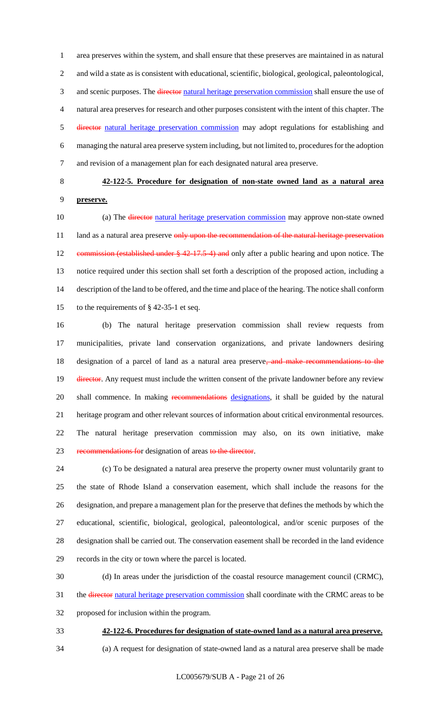area preserves within the system, and shall ensure that these preserves are maintained in as natural and wild a state as is consistent with educational, scientific, biological, geological, paleontological, 3 and scenic purposes. The director natural heritage preservation commission shall ensure the use of natural area preserves for research and other purposes consistent with the intent of this chapter. The director natural heritage preservation commission may adopt regulations for establishing and managing the natural area preserve system including, but not limited to, procedures for the adoption and revision of a management plan for each designated natural area preserve.

# **42-122-5. Procedure for designation of non-state owned land as a natural area preserve.**

10 (a) The director natural heritage preservation commission may approve non-state owned 11 land as a natural area preserve only upon the recommendation of the natural heritage preservation 12 commission (established under § 42-17.5-4) and only after a public hearing and upon notice. The notice required under this section shall set forth a description of the proposed action, including a description of the land to be offered, and the time and place of the hearing. The notice shall conform to the requirements of § 42-35-1 et seq.

 (b) The natural heritage preservation commission shall review requests from municipalities, private land conservation organizations, and private landowners desiring designation of a parcel of land as a natural area preserve, and make recommendations to the 19 <del>director</del>. Any request must include the written consent of the private landowner before any review 20 shall commence. In making recommendations designations, it shall be guided by the natural heritage program and other relevant sources of information about critical environmental resources. The natural heritage preservation commission may also, on its own initiative, make 23 recommendations for designation of areas to the director.

 (c) To be designated a natural area preserve the property owner must voluntarily grant to the state of Rhode Island a conservation easement, which shall include the reasons for the designation, and prepare a management plan for the preserve that defines the methods by which the educational, scientific, biological, geological, paleontological, and/or scenic purposes of the designation shall be carried out. The conservation easement shall be recorded in the land evidence records in the city or town where the parcel is located.

(d) In areas under the jurisdiction of the coastal resource management council (CRMC),

31 the <del>director</del> natural heritage preservation commission shall coordinate with the CRMC areas to be

proposed for inclusion within the program.

**42-122-6. Procedures for designation of state-owned land as a natural area preserve.**

(a) A request for designation of state-owned land as a natural area preserve shall be made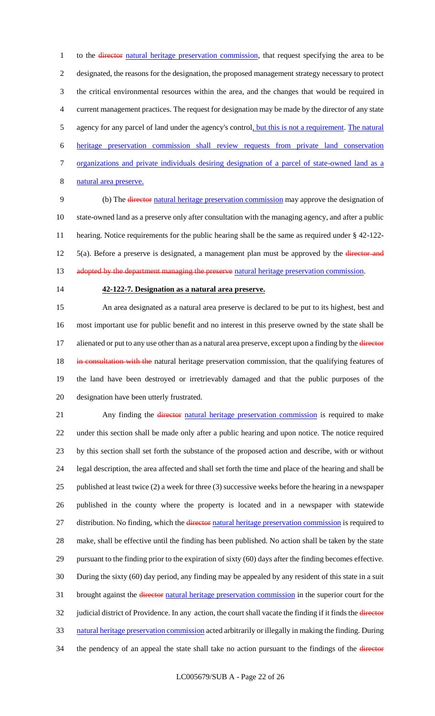1 to the director natural heritage preservation commission, that request specifying the area to be designated, the reasons for the designation, the proposed management strategy necessary to protect the critical environmental resources within the area, and the changes that would be required in current management practices. The request for designation may be made by the director of any state 5 agency for any parcel of land under the agency's control, but this is not a requirement. The natural heritage preservation commission shall review requests from private land conservation organizations and private individuals desiring designation of a parcel of state-owned land as a natural area preserve.

 (b) The director natural heritage preservation commission may approve the designation of state-owned land as a preserve only after consultation with the managing agency, and after a public hearing. Notice requirements for the public hearing shall be the same as required under § 42-122- 12 5(a). Before a preserve is designated, a management plan must be approved by the director and 13 adopted by the department managing the preserve natural heritage preservation commission.

### **42-122-7. Designation as a natural area preserve.**

 An area designated as a natural area preserve is declared to be put to its highest, best and most important use for public benefit and no interest in this preserve owned by the state shall be 17 alienated or put to any use other than as a natural area preserve, except upon a finding by the *director* 18 in consultation with the natural heritage preservation commission, that the qualifying features of the land have been destroyed or irretrievably damaged and that the public purposes of the designation have been utterly frustrated.

21 Any finding the *director natural heritage preservation commission* is required to make under this section shall be made only after a public hearing and upon notice. The notice required by this section shall set forth the substance of the proposed action and describe, with or without legal description, the area affected and shall set forth the time and place of the hearing and shall be published at least twice (2) a week for three (3) successive weeks before the hearing in a newspaper published in the county where the property is located and in a newspaper with statewide 27 distribution. No finding, which the director natural heritage preservation commission is required to make, shall be effective until the finding has been published. No action shall be taken by the state pursuant to the finding prior to the expiration of sixty (60) days after the finding becomes effective. During the sixty (60) day period, any finding may be appealed by any resident of this state in a suit 31 brought against the *director* natural heritage preservation commission in the superior court for the 32 judicial district of Providence. In any action, the court shall vacate the finding if it finds the director natural heritage preservation commission acted arbitrarily or illegally in making the finding. During 34 the pendency of an appeal the state shall take no action pursuant to the findings of the *director*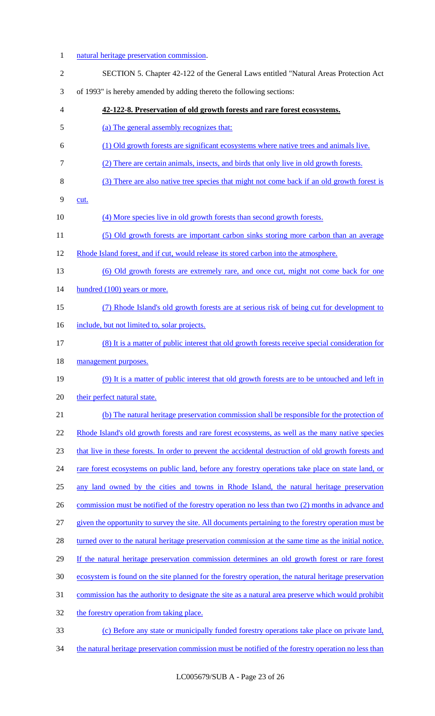- 1 natural heritage preservation commission. SECTION 5. Chapter 42-122 of the General Laws entitled "Natural Areas Protection Act of 1993" is hereby amended by adding thereto the following sections: **42-122-8. Preservation of old growth forests and rare forest ecosystems.**  (a) The general assembly recognizes that: (1) Old growth forests are significant ecosystems where native trees and animals live. (2) There are certain animals, insects, and birds that only live in old growth forests. (3) There are also native tree species that might not come back if an old growth forest is cut. 10 (4) More species live in old growth forests than second growth forests. (5) Old growth forests are important carbon sinks storing more carbon than an average Rhode Island forest, and if cut, would release its stored carbon into the atmosphere. (6) Old growth forests are extremely rare, and once cut, might not come back for one 14 hundred (100) years or more. (7) Rhode Island's old growth forests are at serious risk of being cut for development to 16 include, but not limited to, solar projects. (8) It is a matter of public interest that old growth forests receive special consideration for management purposes. (9) It is a matter of public interest that old growth forests are to be untouched and left in 20 their perfect natural state. (b) The natural heritage preservation commission shall be responsible for the protection of 22 Rhode Island's old growth forests and rare forest ecosystems, as well as the many native species that live in these forests. In order to prevent the accidental destruction of old growth forests and 24 rare forest ecosystems on public land, before any forestry operations take place on state land, or any land owned by the cities and towns in Rhode Island, the natural heritage preservation 26 commission must be notified of the forestry operation no less than two (2) months in advance and given the opportunity to survey the site. All documents pertaining to the forestry operation must be 28 turned over to the natural heritage preservation commission at the same time as the initial notice. If the natural heritage preservation commission determines an old growth forest or rare forest ecosystem is found on the site planned for the forestry operation, the natural heritage preservation commission has the authority to designate the site as a natural area preserve which would prohibit 32 the forestry operation from taking place. (c) Before any state or municipally funded forestry operations take place on private land,
- 34 the natural heritage preservation commission must be notified of the forestry operation no less than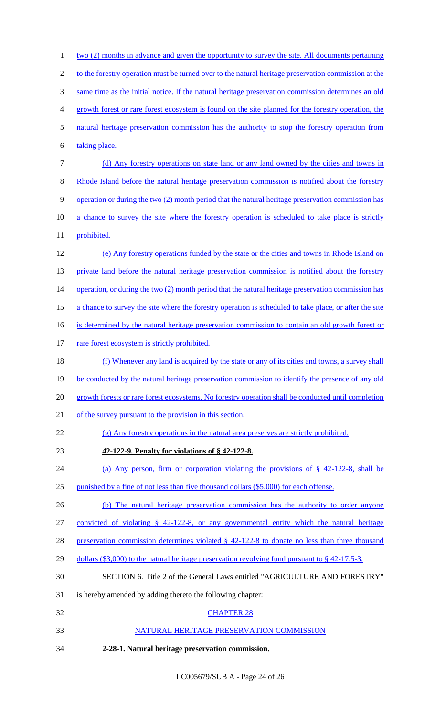| $\mathbf{1}$             | <u>two (2) months in advance and given the opportunity to survey the site. All documents pertaining</u> |
|--------------------------|---------------------------------------------------------------------------------------------------------|
| $\overline{c}$           | to the forestry operation must be turned over to the natural heritage preservation commission at the    |
| $\mathfrak{Z}$           | same time as the initial notice. If the natural heritage preservation commission determines an old      |
| $\overline{\mathcal{A}}$ | growth forest or rare forest ecosystem is found on the site planned for the forestry operation, the     |
| 5                        | natural heritage preservation commission has the authority to stop the forestry operation from          |
| 6                        | taking place.                                                                                           |
| $\tau$                   | (d) Any forestry operations on state land or any land owned by the cities and towns in                  |
| $8\,$                    | Rhode Island before the natural heritage preservation commission is notified about the forestry         |
| $\mathbf{9}$             | operation or during the two (2) month period that the natural heritage preservation commission has      |
| 10                       | a chance to survey the site where the forestry operation is scheduled to take place is strictly         |
| 11                       | prohibited.                                                                                             |
| 12                       | (e) Any forestry operations funded by the state or the cities and towns in Rhode Island on              |
| 13                       | private land before the natural heritage preservation commission is notified about the forestry         |
| 14                       | operation, or during the two $(2)$ month period that the natural heritage preservation commission has   |
| 15                       | a chance to survey the site where the forestry operation is scheduled to take place, or after the site  |
| 16                       | is determined by the natural heritage preservation commission to contain an old growth forest or        |
| 17                       | rare forest ecosystem is strictly prohibited.                                                           |
| 18                       | (f) Whenever any land is acquired by the state or any of its cities and towns, a survey shall           |
| 19                       | be conducted by the natural heritage preservation commission to identify the presence of any old        |
| 20                       | growth forests or rare forest ecosystems. No forestry operation shall be conducted until completion     |
| 21                       | of the survey pursuant to the provision in this section.                                                |
| 22                       | (g) Any forestry operations in the natural area preserves are strictly prohibited.                      |
| 23                       | 42-122-9. Penalty for violations of §42-122-8.                                                          |
| 24                       | (a) Any person, firm or corporation violating the provisions of $\S$ 42-122-8, shall be                 |
| 25                       | punished by a fine of not less than five thousand dollars (\$5,000) for each offense.                   |
| 26                       | (b) The natural heritage preservation commission has the authority to order anyone                      |
| 27                       | convicted of violating $\S$ 42-122-8, or any governmental entity which the natural heritage             |
| 28                       | preservation commission determines violated $\S$ 42-122-8 to donate no less than three thousand         |
| 29                       | dollars (\$3,000) to the natural heritage preservation revolving fund pursuant to $\S$ 42-17.5-3.       |
| 30                       | SECTION 6. Title 2 of the General Laws entitled "AGRICULTURE AND FORESTRY"                              |
| 31                       | is hereby amended by adding thereto the following chapter:                                              |
| 32                       | <b>CHAPTER 28</b>                                                                                       |
| 33                       | NATURAL HERITAGE PRESERVATION COMMISSION                                                                |
| 34                       | 2-28-1. Natural heritage preservation commission.                                                       |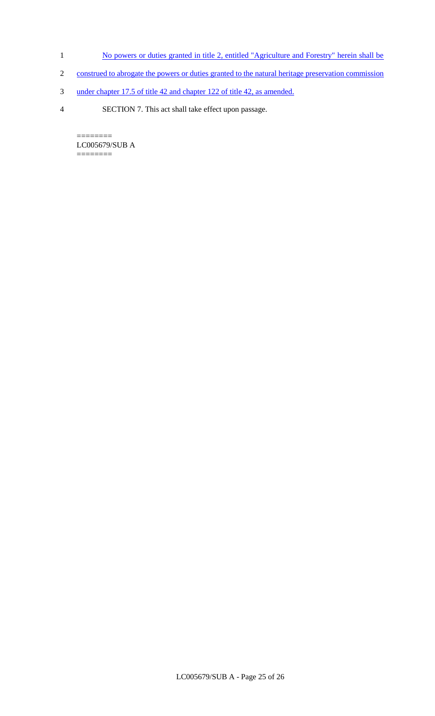- 1 No powers or duties granted in title 2, entitled "Agriculture and Forestry" herein shall be
- 2 construed to abrogate the powers or duties granted to the natural heritage preservation commission
- 3 under chapter 17.5 of title 42 and chapter 122 of title 42, as amended.
- 4 SECTION 7. This act shall take effect upon passage.

======== LC005679/SUB A  $=$